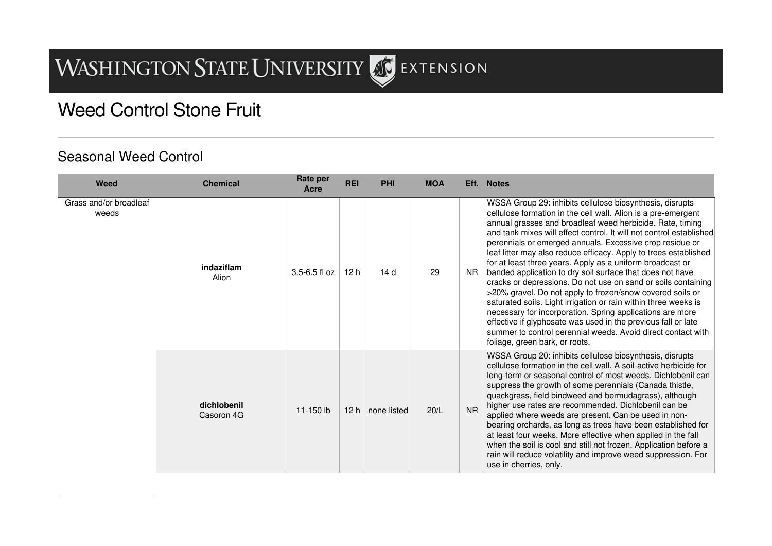## **WASHINGTON STATE UNIVERSITY** STENSION

## Weed Control Stone Fruit

## Seasonal Weed Control

| Weed                            | <b>Chemical</b>           | Rate per<br>Acre  | <b>REI</b>      | <b>PHI</b>  | <b>MOA</b> |           | Eff. Notes                                                                                                                                                                                                                                                                                                                                                                                                                                                                                                                                                                                                                                                                                                                                                                                                                                                                                                                                               |
|---------------------------------|---------------------------|-------------------|-----------------|-------------|------------|-----------|----------------------------------------------------------------------------------------------------------------------------------------------------------------------------------------------------------------------------------------------------------------------------------------------------------------------------------------------------------------------------------------------------------------------------------------------------------------------------------------------------------------------------------------------------------------------------------------------------------------------------------------------------------------------------------------------------------------------------------------------------------------------------------------------------------------------------------------------------------------------------------------------------------------------------------------------------------|
| Grass and/or broadleaf<br>weeds | indaziflam<br>Alion       | $3.5 - 6.5$ fl oz | 12h             | 14d         | 29         | <b>NR</b> | WSSA Group 29: inhibits cellulose biosynthesis, disrupts<br>cellulose formation in the cell wall. Alion is a pre-emergent<br>annual grasses and broadleaf weed herbicide. Rate, timing<br>and tank mixes will effect control. It will not control established<br>perennials or emerged annuals. Excessive crop residue or<br>leaf litter may also reduce efficacy. Apply to trees established<br>for at least three years. Apply as a uniform broadcast or<br>banded application to dry soil surface that does not have<br>cracks or depressions. Do not use on sand or soils containing<br>>20% gravel. Do not apply to frozen/snow covered soils or<br>saturated soils. Light irrigation or rain within three weeks is<br>necessary for incorporation. Spring applications are more<br>effective if glyphosate was used in the previous fall or late<br>summer to control perennial weeds. Avoid direct contact with<br>foliage, green bark, or roots. |
|                                 | dichlobenil<br>Casoron 4G | 11-150 lb         | 12 <sub>h</sub> | none listed | 20/L       | <b>NR</b> | WSSA Group 20: inhibits cellulose biosynthesis, disrupts<br>cellulose formation in the cell wall. A soil-active herbicide for<br>long-term or seasonal control of most weeds. Dichlobenil can<br>suppress the growth of some perennials (Canada thistle,<br>quackgrass, field bindweed and bermudagrass), although<br>higher use rates are recommended. Dichlobenil can be<br>applied where weeds are present. Can be used in non-<br>bearing orchards, as long as trees have been established for<br>at least four weeks. More effective when applied in the fall<br>when the soil is cool and still not frozen. Application before a<br>rain will reduce volatility and improve weed suppression. For<br>use in cherries, only.                                                                                                                                                                                                                        |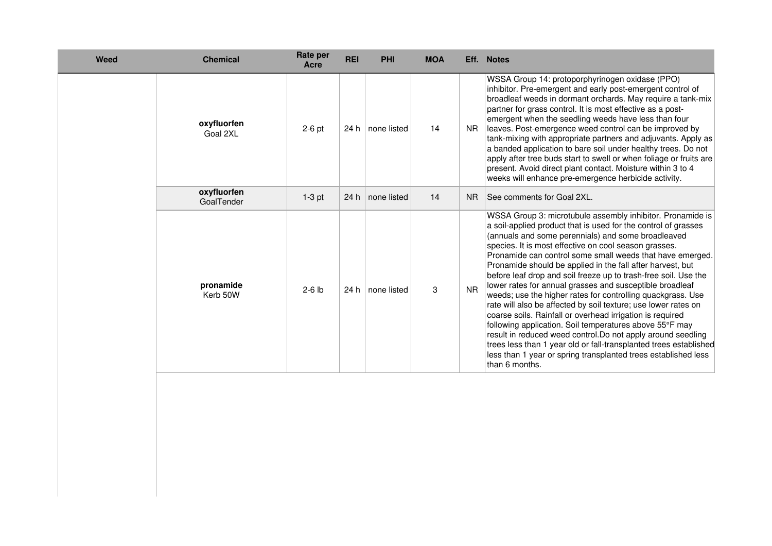| Weed | <b>Chemical</b>           | Rate per<br>Acre | <b>REI</b> | <b>PHI</b>  | <b>MOA</b> | Eff.           | <b>Notes</b>                                                                                                                                                                                                                                                                                                                                                                                                                                                                                                                                                                                                                                                                                                                                                                                                                                                                                                                                                                            |
|------|---------------------------|------------------|------------|-------------|------------|----------------|-----------------------------------------------------------------------------------------------------------------------------------------------------------------------------------------------------------------------------------------------------------------------------------------------------------------------------------------------------------------------------------------------------------------------------------------------------------------------------------------------------------------------------------------------------------------------------------------------------------------------------------------------------------------------------------------------------------------------------------------------------------------------------------------------------------------------------------------------------------------------------------------------------------------------------------------------------------------------------------------|
|      | oxyfluorfen<br>Goal 2XL   | $2-6$ pt         | 24 h       | none listed | 14         | <b>NR</b>      | WSSA Group 14: protoporphyrinogen oxidase (PPO)<br>inhibitor. Pre-emergent and early post-emergent control of<br>broadleaf weeds in dormant orchards. May require a tank-mix<br>partner for grass control. It is most effective as a post-<br>emergent when the seedling weeds have less than four<br>leaves. Post-emergence weed control can be improved by<br>tank-mixing with appropriate partners and adjuvants. Apply as<br>a banded application to bare soil under healthy trees. Do not<br>apply after tree buds start to swell or when foliage or fruits are<br>present. Avoid direct plant contact. Moisture within 3 to 4<br>weeks will enhance pre-emergence herbicide activity.                                                                                                                                                                                                                                                                                             |
|      | oxyfluorfen<br>GoalTender | $1-3$ pt         | 24h        | none listed | 14         | N <sub>R</sub> | See comments for Goal 2XL.                                                                                                                                                                                                                                                                                                                                                                                                                                                                                                                                                                                                                                                                                                                                                                                                                                                                                                                                                              |
|      | pronamide<br>Kerb 50W     | $2-6$ lb         | 24 h       | none listed | 3          | <b>NR</b>      | WSSA Group 3: microtubule assembly inhibitor. Pronamide is<br>a soil-applied product that is used for the control of grasses<br>(annuals and some perennials) and some broadleaved<br>species. It is most effective on cool season grasses.<br>Pronamide can control some small weeds that have emerged.<br>Pronamide should be applied in the fall after harvest, but<br>before leaf drop and soil freeze up to trash-free soil. Use the<br>lower rates for annual grasses and susceptible broadleaf<br>weeds; use the higher rates for controlling quackgrass. Use<br>rate will also be affected by soil texture; use lower rates on<br>coarse soils. Rainfall or overhead irrigation is required<br>following application. Soil temperatures above 55°F may<br>result in reduced weed control. Do not apply around seedling<br>trees less than 1 year old or fall-transplanted trees established<br>less than 1 year or spring transplanted trees established less<br>than 6 months. |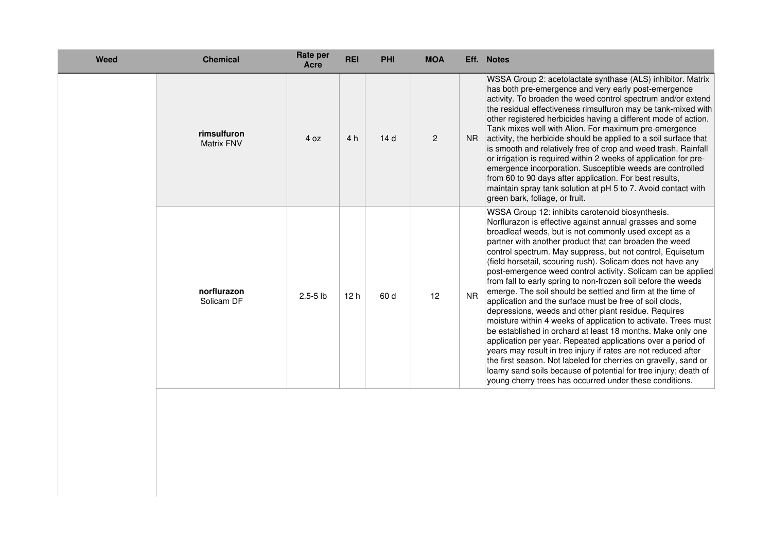| <b>Weed</b> | <b>Chemical</b>                  | Rate per<br>Acre | <b>REI</b> | <b>PHI</b> | <b>MOA</b> |           | Eff. Notes                                                                                                                                                                                                                                                                                                                                                                                                                                                                                                                                                                                                                                                                                                                                                                                                                                                                                                                                                                                                                                                                                                                                         |
|-------------|----------------------------------|------------------|------------|------------|------------|-----------|----------------------------------------------------------------------------------------------------------------------------------------------------------------------------------------------------------------------------------------------------------------------------------------------------------------------------------------------------------------------------------------------------------------------------------------------------------------------------------------------------------------------------------------------------------------------------------------------------------------------------------------------------------------------------------------------------------------------------------------------------------------------------------------------------------------------------------------------------------------------------------------------------------------------------------------------------------------------------------------------------------------------------------------------------------------------------------------------------------------------------------------------------|
|             | rimsulfuron<br><b>Matrix FNV</b> | 4 oz             | 4 h        | 14d        | 2          | <b>NR</b> | WSSA Group 2: acetolactate synthase (ALS) inhibitor. Matrix<br>has both pre-emergence and very early post-emergence<br>activity. To broaden the weed control spectrum and/or extend<br>the residual effectiveness rimsulfuron may be tank-mixed with<br>other registered herbicides having a different mode of action.<br>Tank mixes well with Alion. For maximum pre-emergence<br>activity, the herbicide should be applied to a soil surface that<br>is smooth and relatively free of crop and weed trash. Rainfall<br>or irrigation is required within 2 weeks of application for pre-<br>emergence incorporation. Susceptible weeds are controlled<br>from 60 to 90 days after application. For best results,<br>maintain spray tank solution at pH 5 to 7. Avoid contact with<br>green bark, foliage, or fruit.                                                                                                                                                                                                                                                                                                                               |
|             | norflurazon<br>Solicam DF        | $2.5 - 5$ lb     | 12 h       | 60 d       | 12         | <b>NR</b> | WSSA Group 12: inhibits carotenoid biosynthesis.<br>Norflurazon is effective against annual grasses and some<br>broadleaf weeds, but is not commonly used except as a<br>partner with another product that can broaden the weed<br>control spectrum. May suppress, but not control, Equisetum<br>(field horsetail, scouring rush). Solicam does not have any<br>post-emergence weed control activity. Solicam can be applied<br>from fall to early spring to non-frozen soil before the weeds<br>emerge. The soil should be settled and firm at the time of<br>application and the surface must be free of soil clods,<br>depressions, weeds and other plant residue. Requires<br>moisture within 4 weeks of application to activate. Trees must<br>be established in orchard at least 18 months. Make only one<br>application per year. Repeated applications over a period of<br>years may result in tree injury if rates are not reduced after<br>the first season. Not labeled for cherries on gravelly, sand or<br>loamy sand soils because of potential for tree injury; death of<br>young cherry trees has occurred under these conditions. |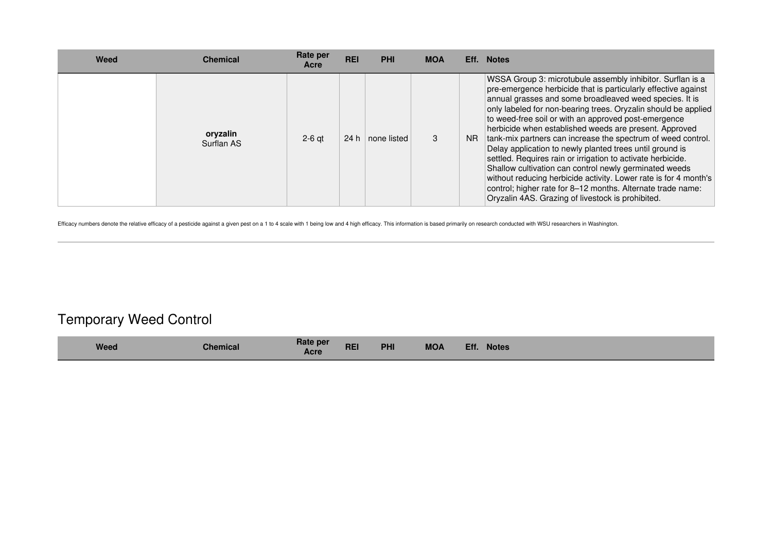| Weed | Chemical               | Rate per<br>Acre | <b>REI</b> | <b>PHI</b>  | <b>MOA</b> |           | Eff. Notes                                                                                                                                                                                                                                                                                                                                                                                                                                                                                                                                                                                                                                                                                                                                                                                                               |
|------|------------------------|------------------|------------|-------------|------------|-----------|--------------------------------------------------------------------------------------------------------------------------------------------------------------------------------------------------------------------------------------------------------------------------------------------------------------------------------------------------------------------------------------------------------------------------------------------------------------------------------------------------------------------------------------------------------------------------------------------------------------------------------------------------------------------------------------------------------------------------------------------------------------------------------------------------------------------------|
|      | oryzalin<br>Surflan AS | $2-6$ at         | 24 h       | none listed |            | <b>NR</b> | WSSA Group 3: microtubule assembly inhibitor. Surflan is a<br>pre-emergence herbicide that is particularly effective against<br>annual grasses and some broadleaved weed species. It is<br>only labeled for non-bearing trees. Oryzalin should be applied<br>to weed-free soil or with an approved post-emergence<br>herbicide when established weeds are present. Approved<br>tank-mix partners can increase the spectrum of weed control.<br>Delay application to newly planted trees until ground is<br>settled. Requires rain or irrigation to activate herbicide.<br>Shallow cultivation can control newly germinated weeds<br>without reducing herbicide activity. Lower rate is for 4 month's<br>control; higher rate for 8-12 months. Alternate trade name:<br>Oryzalin 4AS. Grazing of livestock is prohibited. |

Efficacy numbers denote the relative efficacy of a pesticide against a given pest on a 1 to 4 scale with 1 being low and 4 high efficacy. This information is based primarily on research conducted with WSU researchers in Wa

## Temporary Weed Control

| Rate per<br><b>MOA</b><br><b>REI</b><br><b>PHI</b><br>Eff.<br><b>Weed</b><br><b>Notes</b><br><b>Chemical</b><br>Acre |  |
|----------------------------------------------------------------------------------------------------------------------|--|
|----------------------------------------------------------------------------------------------------------------------|--|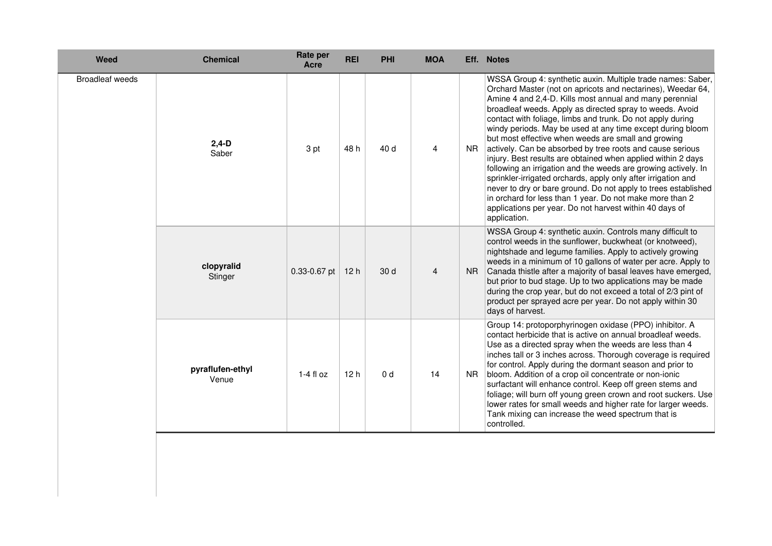| <b>Weed</b>            | <b>Chemical</b>           | Rate per<br>Acre | <b>REI</b> | <b>PHI</b>     | <b>MOA</b>     |                | Eff. Notes                                                                                                                                                                                                                                                                                                                                                                                                                                                                                                                                                                                                                                                                                                                                                                                                                                                                                                    |
|------------------------|---------------------------|------------------|------------|----------------|----------------|----------------|---------------------------------------------------------------------------------------------------------------------------------------------------------------------------------------------------------------------------------------------------------------------------------------------------------------------------------------------------------------------------------------------------------------------------------------------------------------------------------------------------------------------------------------------------------------------------------------------------------------------------------------------------------------------------------------------------------------------------------------------------------------------------------------------------------------------------------------------------------------------------------------------------------------|
| <b>Broadleaf weeds</b> | $2,4-D$<br>Saber          | 3 pt             | 48 h       | 40 d           | 4              | N <sub>R</sub> | WSSA Group 4: synthetic auxin. Multiple trade names: Saber,<br>Orchard Master (not on apricots and nectarines), Weedar 64,<br>Amine 4 and 2,4-D. Kills most annual and many perennial<br>broadleaf weeds. Apply as directed spray to weeds. Avoid<br>contact with foliage, limbs and trunk. Do not apply during<br>windy periods. May be used at any time except during bloom<br>but most effective when weeds are small and growing<br>actively. Can be absorbed by tree roots and cause serious<br>injury. Best results are obtained when applied within 2 days<br>following an irrigation and the weeds are growing actively. In<br>sprinkler-irrigated orchards, apply only after irrigation and<br>never to dry or bare ground. Do not apply to trees established<br>in orchard for less than 1 year. Do not make more than 2<br>applications per year. Do not harvest within 40 days of<br>application. |
|                        | clopyralid<br>Stinger     | $0.33 - 0.67$ pt | 12h        | 30 d           | $\overline{4}$ | NR.            | WSSA Group 4: synthetic auxin. Controls many difficult to<br>control weeds in the sunflower, buckwheat (or knotweed),<br>nightshade and legume families. Apply to actively growing<br>weeds in a minimum of 10 gallons of water per acre. Apply to<br>Canada thistle after a majority of basal leaves have emerged,<br>but prior to bud stage. Up to two applications may be made<br>during the crop year, but do not exceed a total of 2/3 pint of<br>product per sprayed acre per year. Do not apply within 30<br>days of harvest.                                                                                                                                                                                                                                                                                                                                                                          |
|                        | pyraflufen-ethyl<br>Venue | $1-4$ fl oz      | 12h        | 0 <sub>d</sub> | 14             | NR.            | Group 14: protoporphyrinogen oxidase (PPO) inhibitor. A<br>contact herbicide that is active on annual broadleaf weeds.<br>Use as a directed spray when the weeds are less than 4<br>inches tall or 3 inches across. Thorough coverage is required<br>for control. Apply during the dormant season and prior to<br>bloom. Addition of a crop oil concentrate or non-ionic<br>surfactant will enhance control. Keep off green stems and<br>foliage; will burn off young green crown and root suckers. Use<br>lower rates for small weeds and higher rate for larger weeds.<br>Tank mixing can increase the weed spectrum that is<br>controlled.                                                                                                                                                                                                                                                                 |